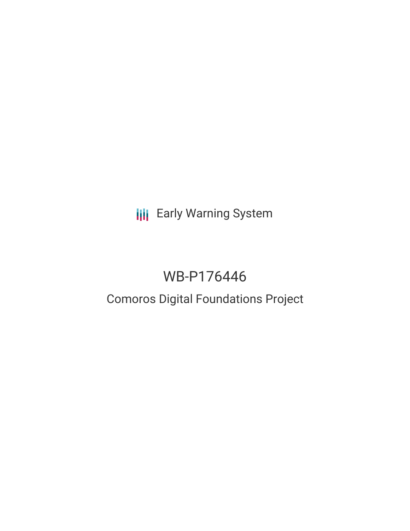**III** Early Warning System

# WB-P176446

## Comoros Digital Foundations Project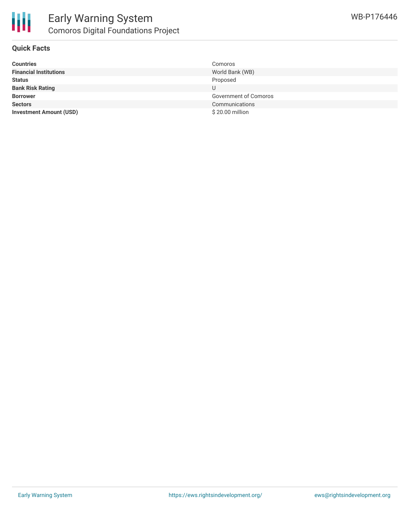

### **Quick Facts**

| Comoros               |
|-----------------------|
| World Bank (WB)       |
| Proposed              |
|                       |
| Government of Comoros |
| Communications        |
| \$20.00 million       |
|                       |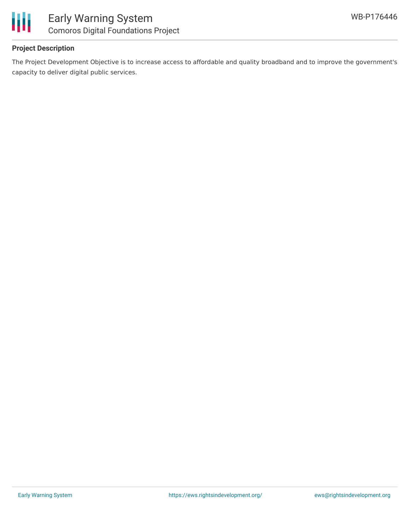

## **Project Description**

The Project Development Objective is to increase access to affordable and quality broadband and to improve the government's capacity to deliver digital public services.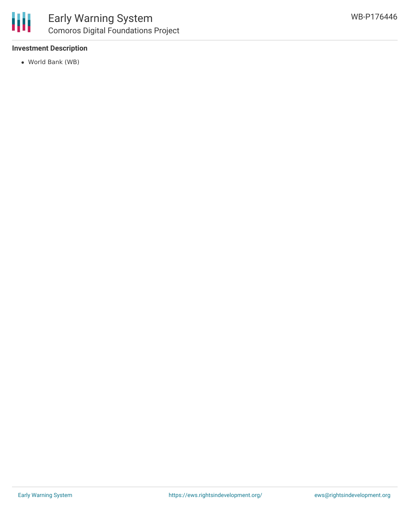

### **Investment Description**

World Bank (WB)